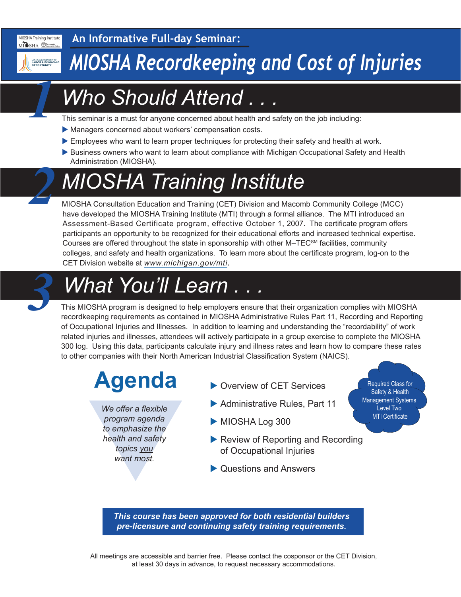

*1*

*2*

**An Informative Full-day Seminar:**

## *MIOSHA Recordkeeping and Cost of Injuries*

### *Who Should Attend . . .*

This seminar is a must for anyone concerned about health and safety on the job including:

- Managers concerned about workers' compensation costs.
- Employees who want to learn proper techniques for protecting their safety and health at work.
- Business owners who want to learn about compliance with Michigan Occupational Safety and Health Administration (MIOSHA).

# *MIOSHA Training Institute*

MIOSHA Consultation Education and Training (CET) Division and Macomb Community College (MCC) have developed the MIOSHA Training Institute (MTI) through a formal alliance. The MTI introduced an Assessment-Based Certificate program, effective October 1, 2007. The certificate program offers participants an opportunity to be recognized for their educational efforts and increased technical expertise. Courses are offered throughout the state in sponsorship with other M–TEC<sup>SM</sup> facilities, community colleges, and safety and health organizations. To learn more about the certificate program, log-on to the CET Division website at *[www.michigan.gov/mti.](http://www.michigan.gov/mti)*

# *What You'll Learn . . . 3*

This MIOSHA program is designed to help employers ensure that their organization complies with MIOSHA recordkeeping requirements as contained in MIOSHA Administrative Rules Part 11, Recording and Reporting of Occupational Injuries and Illnesses. In addition to learning and understanding the "recordability" of work related injuries and illnesses, attendees will actively participate in a group exercise to complete the MIOSHA 300 log. Using this data, participants calculate injury and illness rates and learn how to compare these rates to other companies with their North American Industrial Classification System (NAICS).

# **Agenda**

We offer a flexible<br>program agenda<br>to emphasize the<br>health and safety<br>topics you<br>want most. *We offer a flexible program agenda to emphasize the health and safety topics you want most.*

- ▶ Overview of CFT Services
- $\blacktriangleright$  Administrative Rules, Part 11
- $\blacktriangleright$  MIOSHA Log 300
- $\blacktriangleright$  Review of Reporting and Recording of Occupational Injuries
- $\blacktriangleright$  Questions and Answers

Required Class for Safety & Health Management Systems Level Two MTI Certificate

*This course has been approved for both residential builders pre-licensure and continuing safety training requirements.*

All meetings are accessible and barrier free. Please contact the cosponsor or the CET Division, at least 30 days in advance, to request necessary accommodations.